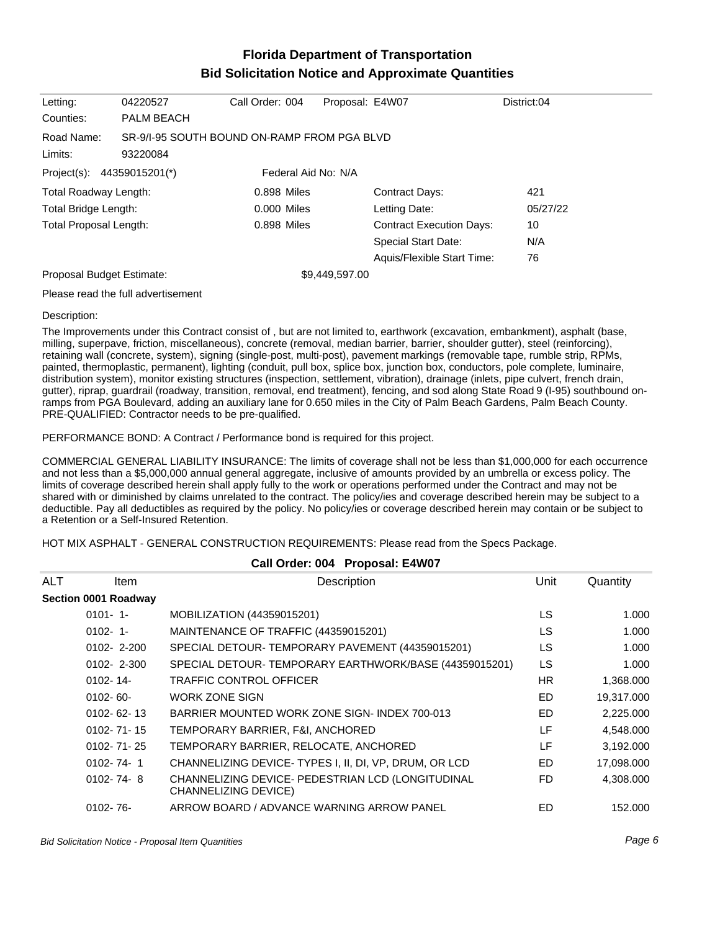## **Florida Department of Transportation Bid Solicitation Notice and Approximate Quantities**

| Letting:                   | 04220527                                    | Call Order: 004     | Proposal: E4W07                 |                            | District:04 |
|----------------------------|---------------------------------------------|---------------------|---------------------------------|----------------------------|-------------|
| Counties:                  | <b>PALM BEACH</b>                           |                     |                                 |                            |             |
| Road Name:                 | SR-9/1-95 SOUTH BOUND ON-RAMP FROM PGA BLVD |                     |                                 |                            |             |
| Limits:                    | 93220084                                    |                     |                                 |                            |             |
| Project(s): 44359015201(*) |                                             | Federal Aid No: N/A |                                 |                            |             |
| Total Roadway Length:      |                                             | 0.898 Miles         |                                 | <b>Contract Days:</b>      | 421         |
| Total Bridge Length:       |                                             | 0.000 Miles         |                                 | Letting Date:              | 05/27/22    |
| Total Proposal Length:     |                                             | 0.898 Miles         | <b>Contract Execution Days:</b> |                            | 10          |
|                            |                                             |                     |                                 | <b>Special Start Date:</b> | N/A         |
|                            |                                             |                     |                                 | Aquis/Flexible Start Time: | 76          |
| Proposal Budget Estimate:  |                                             |                     | \$9,449,597.00                  |                            |             |
|                            | Please read the full advertisement          |                     |                                 |                            |             |

## Description:

The Improvements under this Contract consist of , but are not limited to, earthwork (excavation, embankment), asphalt (base, milling, superpave, friction, miscellaneous), concrete (removal, median barrier, barrier, shoulder gutter), steel (reinforcing), retaining wall (concrete, system), signing (single-post, multi-post), pavement markings (removable tape, rumble strip, RPMs, painted, thermoplastic, permanent), lighting (conduit, pull box, splice box, junction box, conductors, pole complete, luminaire, distribution system), monitor existing structures (inspection, settlement, vibration), drainage (inlets, pipe culvert, french drain, gutter), riprap, guardrail (roadway, transition, removal, end treatment), fencing, and sod along State Road 9 (I-95) southbound onramps from PGA Boulevard, adding an auxiliary lane for 0.650 miles in the City of Palm Beach Gardens, Palm Beach County. PRE-QUALIFIED: Contractor needs to be pre-qualified.

PERFORMANCE BOND: A Contract / Performance bond is required for this project.

COMMERCIAL GENERAL LIABILITY INSURANCE: The limits of coverage shall not be less than \$1,000,000 for each occurrence and not less than a \$5,000,000 annual general aggregate, inclusive of amounts provided by an umbrella or excess policy. The limits of coverage described herein shall apply fully to the work or operations performed under the Contract and may not be shared with or diminished by claims unrelated to the contract. The policy/ies and coverage described herein may be subject to a deductible. Pay all deductibles as required by the policy. No policy/ies or coverage described herein may contain or be subject to a Retention or a Self-Insured Retention.

HOT MIX ASPHALT - GENERAL CONSTRUCTION REQUIREMENTS: Please read from the Specs Package.

| Call Order: 004 Proposal: E4W07 |                      |                                                                           |           |            |
|---------------------------------|----------------------|---------------------------------------------------------------------------|-----------|------------|
| <b>ALT</b>                      | <b>Item</b>          | Description                                                               | Unit      | Quantity   |
|                                 | Section 0001 Roadway |                                                                           |           |            |
|                                 | $0101 - 1$           | MOBILIZATION (44359015201)                                                | <b>LS</b> | 1.000      |
|                                 | $0102 - 1$           | MAINTENANCE OF TRAFFIC (44359015201)                                      | LS.       | 1.000      |
|                                 | $0102 - 2 - 200$     | SPECIAL DETOUR-TEMPORARY PAVEMENT (44359015201)                           | <b>LS</b> | 1.000      |
|                                 | $0102 - 2 - 300$     | SPECIAL DETOUR-TEMPORARY EARTHWORK/BASE (44359015201)                     | LS        | 1.000      |
|                                 | $0102 - 14$          | <b>TRAFFIC CONTROL OFFICER</b>                                            | <b>HR</b> | 1,368.000  |
|                                 | $0102 - 60 -$        | <b>WORK ZONE SIGN</b>                                                     | ED.       | 19,317.000 |
|                                 | $0102 - 62 - 13$     | BARRIER MOUNTED WORK ZONE SIGN- INDEX 700-013                             | ED        | 2,225.000  |
|                                 | $0102 - 71 - 15$     | TEMPORARY BARRIER, F&I, ANCHORED                                          | LF        | 4,548.000  |
|                                 | $0102 - 71 - 25$     | TEMPORARY BARRIER, RELOCATE, ANCHORED                                     | LF        | 3,192.000  |
|                                 | $0102 - 74 - 1$      | CHANNELIZING DEVICE-TYPES I, II, DI, VP, DRUM, OR LCD                     | ED        | 17,098.000 |
|                                 | $0102 - 74 - 8$      | CHANNELIZING DEVICE- PEDESTRIAN LCD (LONGITUDINAL<br>CHANNELIZING DEVICE) | FD.       | 4.308.000  |
|                                 | $0102 - 76 -$        | ARROW BOARD / ADVANCE WARNING ARROW PANEL                                 | ED        | 152,000    |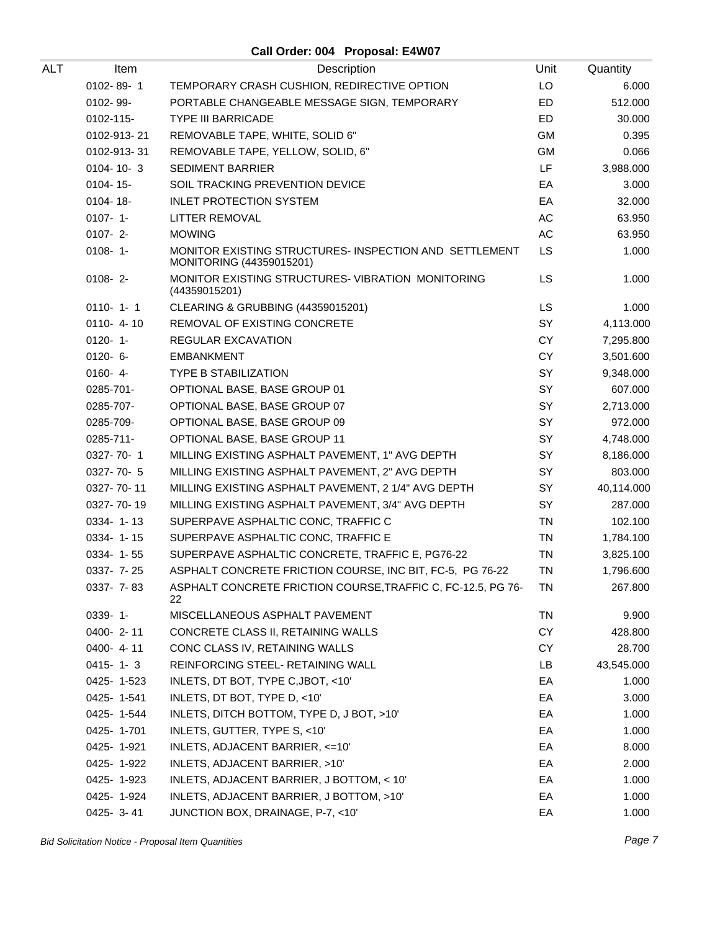**Call Order: 004 Proposal: E4W07**

| ALT | Item            | Description                                                                        | Unit          | Quantity   |
|-----|-----------------|------------------------------------------------------------------------------------|---------------|------------|
|     | 0102-89-1       | TEMPORARY CRASH CUSHION, REDIRECTIVE OPTION                                        | LO            | 6.000      |
|     | 0102-99-        | PORTABLE CHANGEABLE MESSAGE SIGN, TEMPORARY                                        | ED            | 512.000    |
|     | 0102-115-       | <b>TYPE III BARRICADE</b>                                                          | ED            | 30.000     |
|     | 0102-913-21     | REMOVABLE TAPE, WHITE, SOLID 6"                                                    | <b>GM</b>     | 0.395      |
|     | 0102-913-31     | REMOVABLE TAPE, YELLOW, SOLID, 6"                                                  | GM            | 0.066      |
|     | $0104 - 10 - 3$ | <b>SEDIMENT BARRIER</b>                                                            | LF            | 3,988.000  |
|     | $0104 - 15$ -   | SOIL TRACKING PREVENTION DEVICE                                                    | EA            | 3.000      |
|     | 0104-18-        | <b>INLET PROTECTION SYSTEM</b>                                                     | EA            | 32.000     |
|     | $0107 - 1 -$    | <b>LITTER REMOVAL</b>                                                              | AC            | 63.950     |
|     | $0107 - 2 -$    | <b>MOWING</b>                                                                      | $\mathsf{AC}$ | 63.950     |
|     | $0108 - 1$      | MONITOR EXISTING STRUCTURES- INSPECTION AND SETTLEMENT<br>MONITORING (44359015201) | <b>LS</b>     | 1.000      |
|     | $0108 - 2$      | MONITOR EXISTING STRUCTURES-VIBRATION MONITORING<br>(44359015201)                  | LS            | 1.000      |
|     | $0110 - 1 - 1$  | CLEARING & GRUBBING (44359015201)                                                  | <b>LS</b>     | 1.000      |
|     | $0110 - 4 - 10$ | REMOVAL OF EXISTING CONCRETE                                                       | SY            | 4,113.000  |
|     | $0120 - 1$      | REGULAR EXCAVATION                                                                 | <b>CY</b>     | 7,295.800  |
|     | $0120 - 6 -$    | <b>EMBANKMENT</b>                                                                  | <b>CY</b>     | 3,501.600  |
|     | $0160 - 4 -$    | <b>TYPE B STABILIZATION</b>                                                        | SY            | 9,348.000  |
|     | 0285-701-       | OPTIONAL BASE, BASE GROUP 01                                                       | SY            | 607.000    |
|     | 0285-707-       | OPTIONAL BASE, BASE GROUP 07                                                       | SY            | 2,713.000  |
|     | 0285-709-       | OPTIONAL BASE, BASE GROUP 09                                                       | SY            | 972.000    |
|     | 0285-711-       | OPTIONAL BASE, BASE GROUP 11                                                       | SY            | 4,748.000  |
|     | 0327-70-1       | MILLING EXISTING ASPHALT PAVEMENT, 1" AVG DEPTH                                    | SY            | 8,186.000  |
|     | 0327-70-5       | MILLING EXISTING ASPHALT PAVEMENT, 2" AVG DEPTH                                    | SY            | 803.000    |
|     | 0327-70-11      | MILLING EXISTING ASPHALT PAVEMENT, 2 1/4" AVG DEPTH                                | SY            | 40,114.000 |
|     | 0327-70-19      | MILLING EXISTING ASPHALT PAVEMENT, 3/4" AVG DEPTH                                  | SY            | 287.000    |
|     | 0334-1-13       | SUPERPAVE ASPHALTIC CONC, TRAFFIC C                                                | <b>TN</b>     | 102.100    |
|     | 0334-1-15       | SUPERPAVE ASPHALTIC CONC, TRAFFIC E                                                | <b>TN</b>     | 1,784.100  |
|     | $0334 - 1 - 55$ | SUPERPAVE ASPHALTIC CONCRETE, TRAFFIC E, PG76-22                                   | <b>TN</b>     | 3,825.100  |
|     | 0337- 7-25      | ASPHALT CONCRETE FRICTION COURSE, INC BIT, FC-5, PG 76-22                          | <b>TN</b>     | 1,796.600  |
|     | 0337-7-83       | ASPHALT CONCRETE FRICTION COURSE, TRAFFIC C, FC-12.5, PG 76-<br>22                 | ΤN            | 267.800    |
|     | $0339 - 1 -$    | MISCELLANEOUS ASPHALT PAVEMENT                                                     | <b>TN</b>     | 9.900      |
|     | 0400-2-11       | CONCRETE CLASS II, RETAINING WALLS                                                 | CY            | 428.800    |
|     | $0400 - 4 - 11$ | CONC CLASS IV, RETAINING WALLS                                                     | CY            | 28.700     |
|     | $0415 - 1 - 3$  | REINFORCING STEEL- RETAINING WALL                                                  | LB            | 43,545.000 |
|     | 0425-1-523      | INLETS, DT BOT, TYPE C, JBOT, <10'                                                 | EA            | 1.000      |
|     | 0425-1-541      | INLETS, DT BOT, TYPE D, <10'                                                       | EA            | 3.000      |
|     | 0425-1-544      | INLETS, DITCH BOTTOM, TYPE D, J BOT, >10'                                          | EA            | 1.000      |
|     | 0425-1-701      | INLETS, GUTTER, TYPE S, <10'                                                       | EA            | 1.000      |
|     | 0425-1-921      | INLETS, ADJACENT BARRIER, <= 10'                                                   | EA            | 8.000      |
|     | 0425-1-922      | INLETS, ADJACENT BARRIER, >10'                                                     | EA            | 2.000      |
|     | 0425-1-923      | INLETS, ADJACENT BARRIER, J BOTTOM, < 10'                                          | EA            | 1.000      |
|     | 0425-1-924      | INLETS, ADJACENT BARRIER, J BOTTOM, >10'                                           | EA            | 1.000      |
|     | 0425-3-41       | JUNCTION BOX, DRAINAGE, P-7, <10'                                                  | EA            | 1.000      |

Bid Solicitation Notice - Proposal Item Quantities **Page 7** and the set of the set of the set of the set of the set of the set of the set of the set of the set of the set of the set of the set of the set of the set of the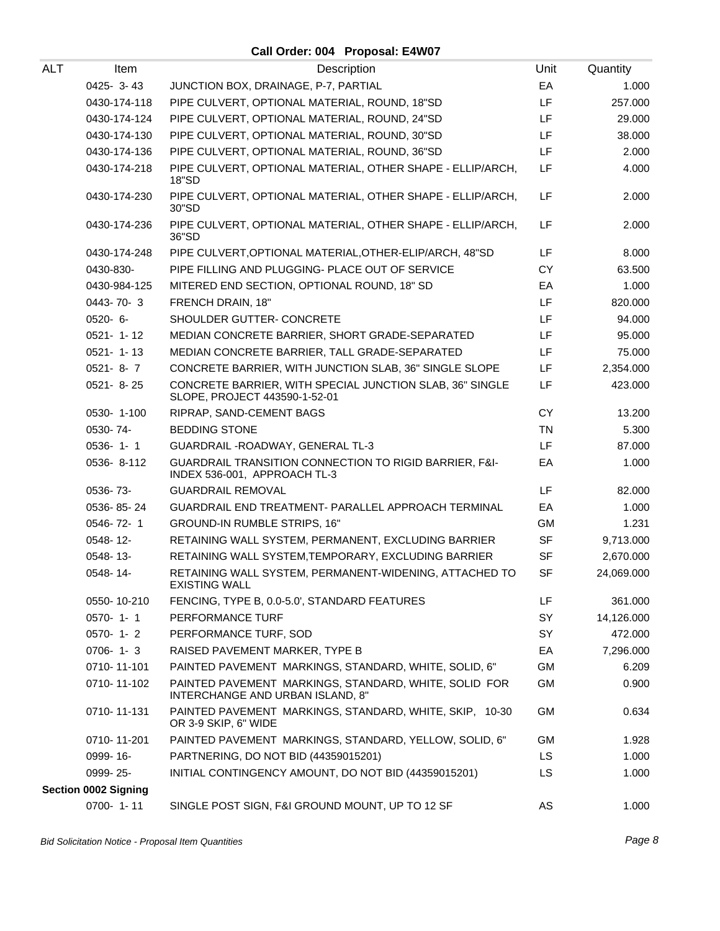## **Call Order: 004 Proposal: E4W07**

| ALT | Item                        | Description                                                                               | Unit      | Quantity   |
|-----|-----------------------------|-------------------------------------------------------------------------------------------|-----------|------------|
|     | 0425-3-43                   | JUNCTION BOX, DRAINAGE, P-7, PARTIAL                                                      | EA        | 1.000      |
|     | 0430-174-118                | PIPE CULVERT, OPTIONAL MATERIAL, ROUND, 18"SD                                             | LF        | 257.000    |
|     | 0430-174-124                | PIPE CULVERT, OPTIONAL MATERIAL, ROUND, 24"SD                                             | LF        | 29.000     |
|     | 0430-174-130                | PIPE CULVERT, OPTIONAL MATERIAL, ROUND, 30"SD                                             | LF.       | 38.000     |
|     | 0430-174-136                | PIPE CULVERT, OPTIONAL MATERIAL, ROUND, 36"SD                                             | LF        | 2.000      |
|     | 0430-174-218                | PIPE CULVERT, OPTIONAL MATERIAL, OTHER SHAPE - ELLIP/ARCH,<br>18"SD                       | LF        | 4.000      |
|     | 0430-174-230                | PIPE CULVERT, OPTIONAL MATERIAL, OTHER SHAPE - ELLIP/ARCH,<br>30"SD                       | LF        | 2.000      |
|     | 0430-174-236                | PIPE CULVERT, OPTIONAL MATERIAL, OTHER SHAPE - ELLIP/ARCH,<br>36"SD                       | LF        | 2.000      |
|     | 0430-174-248                | PIPE CULVERT, OPTIONAL MATERIAL, OTHER-ELIP/ARCH, 48"SD                                   | LF.       | 8.000      |
|     | 0430-830-                   | PIPE FILLING AND PLUGGING- PLACE OUT OF SERVICE                                           | <b>CY</b> | 63.500     |
|     | 0430-984-125                | MITERED END SECTION, OPTIONAL ROUND, 18" SD                                               | EA        | 1.000      |
|     | 0443-70-3                   | FRENCH DRAIN, 18"                                                                         | LF        | 820.000    |
|     | $0520 - 6 -$                | SHOULDER GUTTER- CONCRETE                                                                 | LF.       | 94.000     |
|     | 0521-1-12                   | MEDIAN CONCRETE BARRIER, SHORT GRADE-SEPARATED                                            | LF.       | 95.000     |
|     | $0521 - 1 - 13$             | MEDIAN CONCRETE BARRIER, TALL GRADE-SEPARATED                                             | LF        | 75.000     |
|     | $0521 - 8 - 7$              | CONCRETE BARRIER, WITH JUNCTION SLAB, 36" SINGLE SLOPE                                    | LF.       | 2,354.000  |
|     | 0521-8-25                   | CONCRETE BARRIER, WITH SPECIAL JUNCTION SLAB, 36" SINGLE<br>SLOPE, PROJECT 443590-1-52-01 | LF        | 423.000    |
|     | 0530-1-100                  | RIPRAP, SAND-CEMENT BAGS                                                                  | <b>CY</b> | 13.200     |
|     | 0530-74-                    | <b>BEDDING STONE</b>                                                                      | <b>TN</b> | 5.300      |
|     | $0536 - 1 - 1$              | GUARDRAIL - ROADWAY, GENERAL TL-3                                                         | LF.       | 87.000     |
|     | 0536-8-112                  | GUARDRAIL TRANSITION CONNECTION TO RIGID BARRIER, F&I-<br>INDEX 536-001, APPROACH TL-3    | EA        | 1.000      |
|     | 0536-73-                    | <b>GUARDRAIL REMOVAL</b>                                                                  | LF        | 82.000     |
|     | 0536-85-24                  | <b>GUARDRAIL END TREATMENT- PARALLEL APPROACH TERMINAL</b>                                | EA        | 1.000      |
|     | 0546-72-1                   | GROUND-IN RUMBLE STRIPS, 16"                                                              | GM        | 1.231      |
|     | 0548-12-                    | RETAINING WALL SYSTEM, PERMANENT, EXCLUDING BARRIER                                       | SF        | 9,713.000  |
|     | 0548-13-                    | RETAINING WALL SYSTEM, TEMPORARY, EXCLUDING BARRIER                                       | <b>SF</b> | 2,670.000  |
|     | 0548-14-                    | RETAINING WALL SYSTEM, PERMANENT-WIDENING, ATTACHED TO<br>EXISTING WALL                   | <b>SF</b> | 24,069.000 |
|     | 0550-10-210                 | FENCING, TYPE B, 0.0-5.0', STANDARD FEATURES                                              | LF        | 361.000    |
|     | 0570-1-1                    | PERFORMANCE TURF                                                                          | SY        | 14,126.000 |
|     | $0570 - 1 - 2$              | PERFORMANCE TURF, SOD                                                                     | SY        | 472.000    |
|     | $0706 - 1 - 3$              | RAISED PAVEMENT MARKER, TYPE B                                                            | EA        | 7,296.000  |
|     | 0710-11-101                 | PAINTED PAVEMENT MARKINGS, STANDARD, WHITE, SOLID, 6"                                     | GM        | 6.209      |
|     | 0710-11-102                 | PAINTED PAVEMENT MARKINGS, STANDARD, WHITE, SOLID FOR<br>INTERCHANGE AND URBAN ISLAND, 8" | GM        | 0.900      |
|     | 0710-11-131                 | PAINTED PAVEMENT MARKINGS, STANDARD, WHITE, SKIP, 10-30<br>OR 3-9 SKIP, 6" WIDE           | <b>GM</b> | 0.634      |
|     | 0710-11-201                 | PAINTED PAVEMENT MARKINGS, STANDARD, YELLOW, SOLID, 6"                                    | GM        | 1.928      |
|     | 0999-16-                    | PARTNERING, DO NOT BID (44359015201)                                                      | LS.       | 1.000      |
|     | 0999-25-                    | INITIAL CONTINGENCY AMOUNT, DO NOT BID (44359015201)                                      | LS.       | 1.000      |
|     | <b>Section 0002 Signing</b> |                                                                                           |           |            |
|     | 0700-1-11                   | SINGLE POST SIGN, F&I GROUND MOUNT, UP TO 12 SF                                           | AS        | 1.000      |